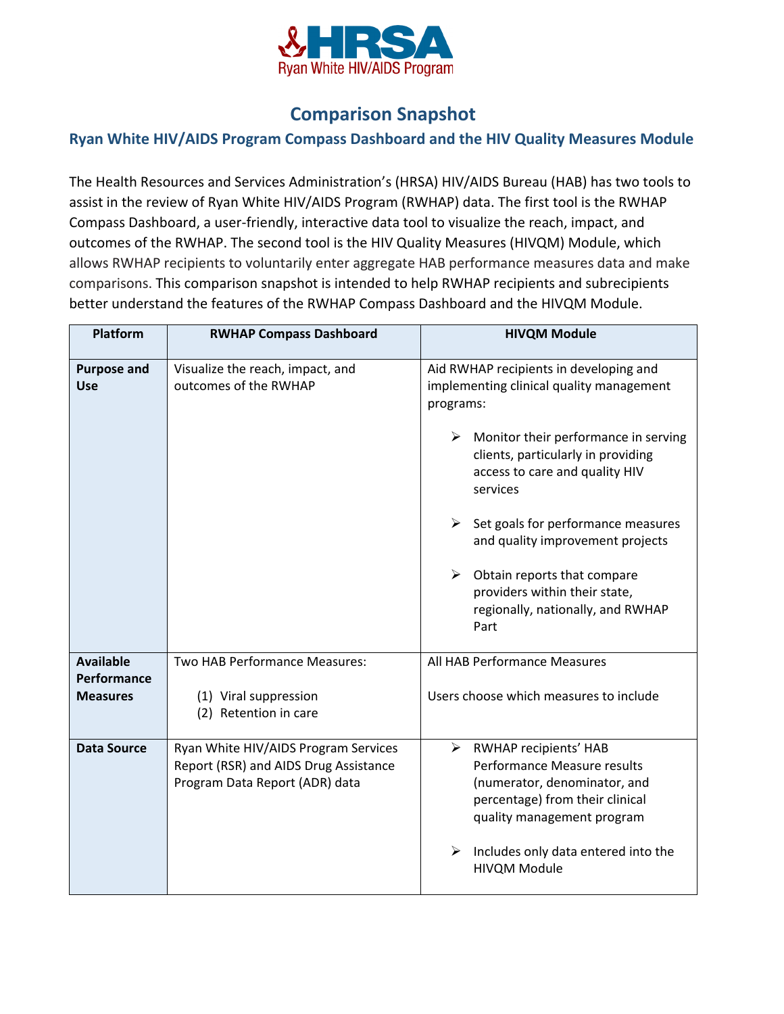

## **Comparison Snapshot**

## **Ryan White HIV/AIDS Program Compass Dashboard and the HIV Quality Measures Module**

The Health Resources and Services Administration's (HRSA) HIV/AIDS Bureau (HAB) has two tools to assist in the review of Ryan White HIV/AIDS Program (RWHAP) data. The first tool is the RWHAP Compass Dashboard, a user-friendly, interactive data tool to visualize the reach, impact, and outcomes of the RWHAP. The second tool is the HIV Quality Measures (HIVQM) Module, which allows RWHAP recipients to voluntarily enter aggregate HAB performance measures data and make comparisons. This comparison snapshot is intended to help RWHAP recipients and subrecipients better understand the features of the RWHAP Compass Dashboard and the HIVQM Module.

| Platform                                           | <b>RWHAP Compass Dashboard</b>                                                                                  | <b>HIVQM Module</b>                                                                                                                                                                                                                                                                                                                                                                                                                                       |
|----------------------------------------------------|-----------------------------------------------------------------------------------------------------------------|-----------------------------------------------------------------------------------------------------------------------------------------------------------------------------------------------------------------------------------------------------------------------------------------------------------------------------------------------------------------------------------------------------------------------------------------------------------|
| <b>Purpose and</b><br><b>Use</b>                   | Visualize the reach, impact, and<br>outcomes of the RWHAP                                                       | Aid RWHAP recipients in developing and<br>implementing clinical quality management<br>programs:<br>$\triangleright$ Monitor their performance in serving<br>clients, particularly in providing<br>access to care and quality HIV<br>services<br>$\triangleright$ Set goals for performance measures<br>and quality improvement projects<br>➤<br>Obtain reports that compare<br>providers within their state,<br>regionally, nationally, and RWHAP<br>Part |
| <b>Available</b><br>Performance<br><b>Measures</b> | Two HAB Performance Measures:<br>(1) Viral suppression<br>(2) Retention in care                                 | All HAB Performance Measures<br>Users choose which measures to include                                                                                                                                                                                                                                                                                                                                                                                    |
| <b>Data Source</b>                                 | Ryan White HIV/AIDS Program Services<br>Report (RSR) and AIDS Drug Assistance<br>Program Data Report (ADR) data | > RWHAP recipients' HAB<br>Performance Measure results<br>(numerator, denominator, and<br>percentage) from their clinical<br>quality management program<br>➤<br>Includes only data entered into the<br><b>HIVQM Module</b>                                                                                                                                                                                                                                |